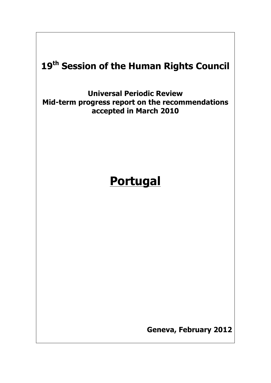# **19th Session of the Human Rights Council**

**Universal Periodic Review Mid-term progress report on the recommendations accepted in March 2010**

# **Portugal**

**Geneva, February 2012**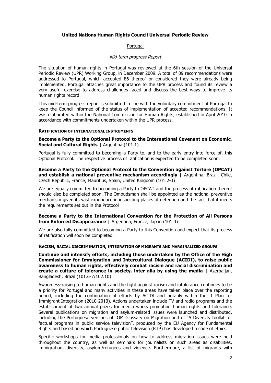# **United Nations Human Rights Council Universal Periodic Review**

#### Portugal

#### Mid-term progress Report

The situation of human rights in Portugal was reviewed at the 6th session of the Universal Periodic Review (UPR) Working Group, in December 2009. A total of 89 recommendations were addressed to Portugal, which accepted 86 thereof or considered they were already being implemented. Portugal attaches great importance to the UPR process and found its review a very useful exercise to address challenges faced and discuss the best ways to improve its human rights record.

This mid-term progress report is submitted in line with the voluntary commitment of Portugal to keep the Council informed of the status of implementation of accepted recommendations. It was elaborated within the National Commission for Human Rights, established in April 2010 in accordance with commitments undertaken within the UPR process.

#### **RATIFICATION OF INTERNATIONAL INSTRUMENTS**

**Become a Party to the Optional Protocol to the International Covenant on Economic, Social and Cultural Rights | Argentina (101.1)** 

Portugal is fully committed to becoming a Party to, and to the early entry into force of, this Optional Protocol. The respective process of ratification is expected to be completed soon.

**Become a Party to the Optional Protocol to the Convention against Torture (OPCAT) and establish a national preventive mechanism accordingly |** Argentina, Brazil, Chile, Czech Republic, France, Mauritius, Spain, United Kingdom (101.2-3)

We are equally committed to becoming a Party to OPCAT and the process of ratification thereof should also be completed soon. The Ombudsman shall be appointed as the national preventive mechanism given its vast experience in inspecting places of detention and the fact that it meets the requirements set out in the Protocol

#### **Become a Party to the International Convention for the Protection of All Persons from Enforced Disappearance | Argentina, France, Japan (101.4)**

We are also fully committed to becoming a Party to this Convention and expect that its process of ratification will soon be completed.

**RACISM, RACIAL DISCRIMINATION, INTEGRATION OF MIGRANTS AND MARGINALIZED GROUPS**

**Continue and intensify efforts, including those undertaken by the Office of the High Commissioner for Immigration and Intercultural Dialogue (ACIDI), to raise public awareness to human rights, effectively combat racism and racial discrimination and create a culture of tolerance in society, inter alia by using the media |** Azerbaijan, Bangladesh, Brazil (101.6-7/102.10)

Awareness-raising to human rights and the fight against racism and intolerance continues to be a priority for Portugal and many activities in these areas have taken place over the reporting period, including the continuation of efforts by ACIDI and notably within the II Plan for Immigrant Integration (2010-2013). Actions undertaken include TV and radio programs and the establishment of two annual prizes for media works promoting human rights and tolerance. Several publications on migration and asylum-related issues were launched and distributed, including the Portuguese versions of IOM Glossary on Migration and of "A Diversity toolkit for factual programs in public service television", produced by the EU Agency for Fundamental Rights and based on which Portuguese public television (RTP) has developed a code of ethics.

Specific workshops for media professionals on how to address migration issues were held throughout the country, as well as seminars for journalists on such areas as disabilities, immigration, diversity, asylum/refugees and violence. Furthermore, a list of migrants with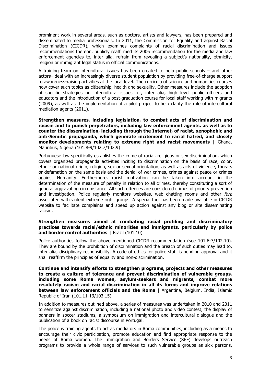prominent work in several areas, such as doctors, artists and lawyers, has been prepared and disseminated to media professionals. In 2011, the Commission for Equality and against Racial Discrimination (CICDR), which examines complaints of racial discrimination and issues recommendations thereon, publicly reaffirmed its 2006 recommendation for the media and law enforcement agencies to, inter alia, refrain from revealing a subject's nationality, ethnicity, religion or immigrant legal status in official communications.

A training team on intercultural issues has been created to help public schools – and other actors– deal with an increasingly diverse student population by providing free-of-charge support to awareness-raising activities at the local level. The curricula of science and humanities courses now cover such topics as citizenship, health and sexuality. Other measures include the adoption of specific strategies on intercultural issues for, inter alia, high level public officers and educators and the introduction of a post-graduation course for local staff working with migrants (2009), as well as the implementation of a pilot project to help clarify the role of intercultural mediation agents (2011).

**Strengthen measures, including legislation, to combat acts of discrimination and racism and to punish perpetrators, including law enforcement agents, as well as to counter the dissemination, including through the Internet, of racist, xenophobic and anti-Semitic propaganda, which generate incitement to racial hatred, and closely monitor developments relating to extreme right and racist movements |** Ghana, Mauritius, Nigeria (101.8-9/102.7/102.9)

Portuguese law specifically establishes the crime of racial, religious or sex discrimination, which covers organized propaganda activities inciting to discrimination on the basis of race, color, ethnic or national origin, religion, sex or sexual orientation, as well as acts of violence, threats or defamation on the same basis and the denial of war crimes, crimes against peace or crimes against Humanity. Furthermore, racist motivation can be taken into account in the determination of the measure of penalty in relation to all crimes, thereby constituting a sort of general aggravating circumstance. All such offences are considered crimes of priority prevention and investigation. Police regularly monitors websites, web chatting rooms and other fora associated with violent extreme right groups. A special tool has been made available in CICDR website to facilitate complaints and speed up action against any blog or site disseminating racism.

# **Strengthen measures aimed at combating racial profiling and discriminatory practices towards racial/ethnic minorities and immigrants, particularly by police and border control authorities | Brazil (101.10)**

Police authorities follow the above mentioned CICDR recommendation (see 101.6-7/102.10). They are bound by the prohibition of discrimination and the breach of such duties may lead to, inter alia, disciplinary responsibility. A code of ethics for police staff is pending approval and it shall reaffirm the principles of equality and non-discrimination.

**Continue and intensify efforts to strengthen programs, projects and other measures to create a culture of tolerance and prevent discrimination of vulnerable groups, including some Roma women, asylum-seekers and migrants, combat more resolutely racism and racial discrimination in all its forms and improve relations between law enforcement officials and the Roma** | Argentina, Belgium, India, Islamic Republic of Iran (101.11-13/103.15)

In addition to measures outlined above, a series of measures was undertaken in 2010 and 2011 to sensitize against discrimination, including a national photo and video contest, the display of banners in soccer stadiums, a symposium on immigration and intercultural dialogue and the publication of a book on racist discourse in Portugal.

The police is training agents to act as mediators in Roma communities, including as a means to encourage their civic participation, promote education and find appropriate response to the needs of Roma women. The Immigration and Borders Service (SEF) develops outreach programs to provide a whole range of services to such vulnerable groups as sick persons,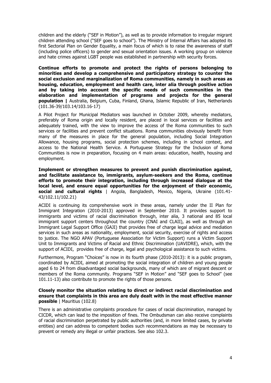children and the elderly ("SEF in Motion"), as well as to provide information to irregular migrant children attending school ("SEF goes to school"). The Ministry of Internal Affairs has adopted its first Sectorial Plan on Gender Equality, a main focus of which is to raise the awareness of staff (including police officers) to gender and sexual orientation issues. A working group on violence and hate crimes against LGBT people was established in partnership with security forces.

**Continue efforts to promote and protect the rights of persons belonging to minorities and develop a comprehensive and participatory strategy to counter the social exclusion and marginalization of Roma communities, namely in such areas as housing, education, employment and health care, inter alia through positive action and by taking into account the specific needs of such communities in the elaboration and implementation of programs and projects for the general population |** Australia, Belgium, Cuba, Finland, Ghana, Islamic Republic of Iran, Netherlands (101.36-39/103.14/103.16-17)

A Pilot Project for Municipal Mediators was launched in October 2009, whereby mediators, preferably of Roma origin and locally resident, are placed in local services or facilities and adequately trained, with the view to improve the access of the Roma communities to such services or facilities and prevent conflict situations. Roma communities obviously benefit from many of the measures in place for the general population, including Social Integration Allowance, housing programs, social protection schemes, including in school context, and access to the National Health Service. A Portuguese Strategy for the Inclusion of Roma Communities is now in preparation, focusing on 4 main areas: education, health, housing and employment.

**Implement or strengthen measures to prevent and punish discrimination against, and facilitate assistance to, immigrants, asylum-seekers and the Roma, continue efforts to promote their integration, including through increased dialogue at the local level, and ensure equal opportunities for the enjoyment of their economic, social and cultural rights** | Angola, Bangladesh, Mexico, Nigeria, Ukraine (101.41- 43/102.11/102.21)

ACIDI is continuing its comprehensive work in these areas, namely under the II Plan for Immigrant Integration (2010-2013) approved in September 2010. It provides support to immigrants and victims of racial discrimination through, inter alia, 3 national and 85 local immigrant support centers throughout the country (CNAI and CLAII), as well as through an Immigrant Legal Support Office (GAJI) that provides free of charge legal advice and mediation services in such areas as nationality, employment, social security, exercise of rights and access to justice. The NGO APAV (Portuguese Association for Victim Support) runs a Victim Support Unit to Immigrants and Victims of Racial and Ethnic Discrimination (UAVIDRE), which, with the support of ACIDI, provides free of charge, legal and psychological assistance to such victims.

Furthermore, Program "Choices" is now in its fourth phase (2010-2013): it is a public program, coordinated by ACIDI, aimed at promoting the social integration of children and young people aged 6 to 24 from disadvantaged social backgrounds, many of which are of migrant descent or members of the Roma community. Programs "SEF in Motion" and "SEF goes to School" (see 101.11-13) also contribute to promote the rights of those persons.

# **Closely monitor the situation relating to direct or indirect racial discrimination and ensure that complaints in this area are duly dealt with in the most effective manner possible** | Mauritius (102.8)

There is an administrative complaints procedure for cases of racial discrimination, managed by CICDR, which can lead to the imposition of fines. The Ombudsman can also receive complaints of racial discrimination perpetrated by public authorities (and, in more limited cases, by private entities) and can address to competent bodies such recommendations as may be necessary to prevent or remedy any illegal or unfair practices. See also 102.3.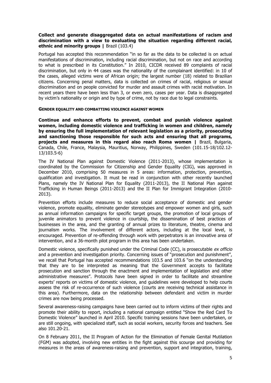# **Collect and generate disaggregated data on actual manifestations of racism and discrimination with a view to evaluating the situation regarding different racial, ethnic and minority groups |** Brazil (103.4)

Portugal has accepted this recommendation "in so far as the data to be collected is on actual manifestations of discrimination, including racial discrimination, but not on race and according to what is prescribed in its Constitution." In 2010, CICDR received 89 complaints of racial discrimination, but only in 44 cases was the nationality of the complainant identified: in 10 of the cases, alleged victims were of African origin; the largest number (18) related to Brazilian citizens. Concerning penal matters, data is collected on crimes of racial, religious or sexual discrimination and on people convicted for murder and assault crimes with racist motivation. In recent years there have been less than 3, or even zero, cases per year. Data is disaggregated by victim's nationality or origin and by type of crime, not by race due to legal constraints.

#### **GENDER EQUALITY AND COMBATTING VIOLENCE AGAINST WOMEN**

**Continue and enhance efforts to prevent, combat and punish violence against women, including domestic violence and trafficking in women and children, namely by ensuring the full implementation of relevant legislation as a priority, prosecuting and sanctioning those responsible for such acts and ensuring that all programs, projects and measures in this regard also reach Roma women |** Brazil, Bulgaria, Canada, Chile, France, Malaysia, Mauritius, Norway, Philippines, Sweden (101.15-18/102.12- 13/103.5-6)

The IV National Plan against Domestic Violence (2011-2013), whose implementation is coordinated by the Commission for Citizenship and Gender Equality (CIG), was approved in December 2010, comprising 50 measures in 5 areas: information, protection, prevention, qualification and investigation. It must be read in conjunction with other recently launched Plans, namely the IV National Plan for Equality (2011-2013), the II National Plan against Trafficking in Human Beings (2011-2013) and the II Plan for Immigrant Integration (2010- 2013).

Prevention efforts include measures to reduce social acceptance of domestic and gender violence, promote equality, eliminate gender stereotypes and empower women and girls, such as annual information campaigns for specific target groups, the promotion of local groups of juvenile animators to prevent violence in courtship, the dissemination of best practices of businesses in the area, and the granting of annual prizes to literature, theatre, cinema and journalism works. The involvement of different actors, including at the local level, is encouraged. Prevention of re-offending through work with perpetrators is an innovative area of intervention, and a 36-month pilot program in this area has been undertaken.

Domestic violence, specifically punished under the Criminal Code (CC), is prosecutable ex officio and a prevention and investigation priority. Concerning issues of "prosecution and punishment", we recall that Portugal has accepted recommendations 103.5 and 103.6 "on the understanding that they are to be interpreted as meaning that the Government accepts to facilitate prosecution and sanction through the enactment and implementation of legislation and other administrative measures". Protocols have been signed in order to facilitate and streamline experts' reports on victims of domestic violence, and guidelines were developed to help courts assess the risk of re-occurrence of such violence (courts are receiving technical assistance in this area). Furthermore, data on the relationship between defendant and victim in murder crimes are now being processed.

Several awareness-raising campaigns have been carried out to inform victims of their rights and promote their ability to report, including a national campaign entitled "Show the Red Card To Domestic Violence" launched in April 2010. Specific training sessions have been undertaken, or are still ongoing, with specialized staff, such as social workers, security forces and teachers. See also 101.20-21.

On 8 February 2011, the II Program of Action for the Elimination of Female Genital Mutilation (FGM) was adopted, involving new entities in the fight against this scourge and providing for measures in the areas of awareness-raising and prevention, support and integration, training,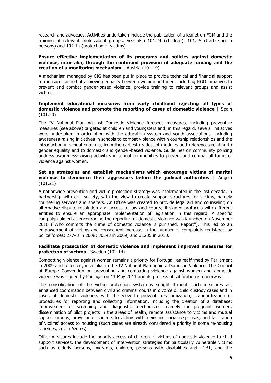research and advocacy. Activities undertaken include the publication of a leaflet on FGM and the training of relevant professional groups. See also 101.24 (children), 101.25 (trafficking in persons) and 102.14 (protection of victims).

# **Ensure effective implementation of its programs and policies against domestic violence, inter alia, through the continued provision of adequate funding and the creation of a monitoring mechanism |** Austria (101.19)

A mechanism managed by CIG has been put in place to provide technical and financial support to measures aimed at achieving equality between women and men, including NGO initiatives to prevent and combat gender-based violence, provide training to relevant groups and assist victims.

# **Implement educational measures from early childhood rejecting all types of domestic violence and promote the reporting of cases of domestic violence |** Spain (101.20)

The IV National Plan Against Domestic Violence foresees measures, including preventive measures (see above) targeted at children and youngsters and, in this regard, several initiatives were undertaken in articulation with the education system and youth associations, including awareness-raising initiatives in schools to combat violence within courtship relationships and the introduction in school curricula, from the earliest grades, of modules and references relating to gender equality and to domestic and gender-based violence. Guidelines on community policing address awareness-raising activities in school communities to prevent and combat all forms of violence against women.

# **Set up strategies and establish mechanisms which encourage victims of marital violence to denounce their aggressors before the judicial authorities |** Angola (101.21)

A nationwide prevention and victim protection strategy was implemented in the last decade, in partnership with civil society, with the view to create support structures for victims, namely counseling services and shelters. An Office was created to provide legal aid and counseling on alternative dispute resolution and access to law and courts; it signed protocols with different entities to ensure an appropriate implementation of legislation in this regard. A specific campaign aimed at encouraging the reporting of domestic violence was launched on November 2010 ("Who commits the crime of domestic violence is punished. Report"). This led to an empowerment of victims and consequent increase in the number of complaints registered by police forces: 27743 in 2008; 30543 in 2009; and 31235 in 2010.

# **Facilitate prosecution of domestic violence and implement improved measures for protection of victims** | Sweden (102.14)

Combatting violence against women remains a priority for Portugal, as reaffirmed by Parliament in 2009 and reflected, inter alia, in the IV National Plan against Domestic Violence. The Council of Europe Convention on preventing and combating violence against women and domestic violence was signed by Portugal on 11 May 2011 and its process of ratification is underway.

The consolidation of the victim protection system is sought through such measures as: enhanced coordination between civil and criminal courts in divorce or child custody cases and in cases of domestic violence, with the view to prevent re-victimization; standardization of procedures for reporting and collecting information, including the creation of a database; improvement of screening and diagnostic mechanisms, namely for pregnant women; dissemination of pilot projects in the areas of health, remote assistance to victims and mutual support groups; provision of shelters to victims within existing social responses; and facilitation of victims' access to housing (such cases are already considered a priority in some re-housing schemes, eg. in Azores).

Other measures include the priority access of children of victims of domestic violence to child support services, the development of intervention strategies for particularly vulnerable victims such as elderly persons, migrants, children, persons with disabilities and LGBT, and the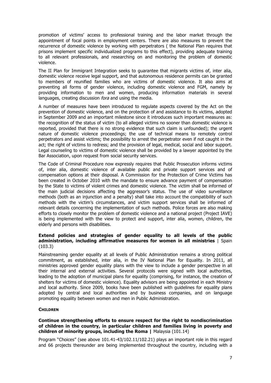promotion of victims' access to professional training and the labor market through the appointment of focal points in employment centers. There are also measures to prevent the recurrence of domestic violence by working with perpetrators ( the National Plan requires that prisons implement specific individualized programs to this effect), providing adequate training to all relevant professionals, and researching on and monitoring the problem of domestic violence.

The II Plan for Immigrant Integration seeks to guarantee that migrants victims of, inter alia, domestic violence receive legal support, and that autonomous residence permits can be granted to members of reunified families who are victims of domestic violence. It also aims at preventing all forms of gender violence, including domestic violence and FGM, namely by providing information to men and women, producing information materials in several languages, creating discussion fora and using the media.

A number of measures have been introduced to regulate aspects covered by the Act on the prevention of domestic violence, and on the protection of and assistance to its victims, adopted in September 2009 and an important milestone since it introduces such important measures as: the recognition of the status of victim (to all alleged victims no sooner than domestic violence is reported, provided that there is no strong evidence that such claim is unfounded); the urgent nature of domestic violence proceedings; the use of technical means to remotely control perpetrators and assist victims; the possibility to arrest the perpetrator even if not caught in the act; the right of victims to redress; and the provision of legal, medical, social and labor support. Legal counseling to victims of domestic violence shall be provided by a lawyer appointed by the Bar Association, upon request from social security services.

The Code of Criminal Procedure now expressly requires that Public Prosecution informs victims of, inter alia, domestic violence of available public and private support services and of compensation options at their disposal. A Commission for the Protection of Crime Victims has been created in October 2010 with the mandate to ensure advance payment of compensation by the State to victims of violent crimes and domestic violence. The victim shall be informed of the main judicial decisions affecting the aggressor's status. The use of video surveillance methods (both as an injunction and a penalty) shall take into account the compatibility of such methods with the victim's circumstances, and victim support services shall be informed of relevant details concerning the implementation of such methods. Police forces are also making efforts to closely monitor the problem of domestic violence and a national project (Project IAVE) is being implemented with the view to protect and support, inter alia, women, children, the elderly and persons with disabilities.

# **Extend policies and strategies of gender equality to all levels of the public administration, including affirmative measures for women in all ministries** | Spain (103.3)

Mainstreaming gender equality at all levels of Public Administration remains a strong political commitment, as established, inter alia, in the IV National Plan for Equality. In 2011, all ministries approved gender equality plans with the view to include a gender perspective in all their internal and external activities. Several protocols were signed with local authorities, leading to the adoption of municipal plans for equality (comprising, for instance, the creation of shelters for victims of domestic violence). Equality advisors are being appointed in each Ministry and local authority. Since 2009, books have been published with guidelines for equality plans adopted by central and local authorities and by business companies, and on language promoting equality between women and men in Public Administration.

# **CHILDREN**

# **Continue strengthening efforts to ensure respect for the right to nondiscrimination of children in the country, in particular children and families living in poverty and children of minority groups, including the Roma | Malaysia (101.14)**

Program "Choices" (see above 101.41-43/102.11/102.21) plays an important role in this regard and 66 projects thereunder are being implemented throughout the country, including with a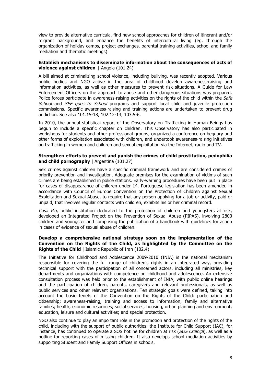view to provide alternative curricula, find new school approaches for children of itinerant and/or migrant background, and enhance the benefits of intercultural living (eg. through the organization of holiday camps, project exchanges, parental training activities, school and family mediation and thematic meetings).

# **Establish mechanisms to disseminate information about the consequences of acts of violence against children |** Angola (101.24)

A bill aimed at criminalizing school violence, including bullying, was recently adopted. Various public bodies and NGO active in the area of childhood develop awareness-raising and information activities, as well as other measures to prevent risk situations. A Guide for Law Enforcement Officers on the approach to abuse and other dangerous situations was prepared. Police forces participate in awareness-raising activities on the rights of the child within the Safe School and SEF goes to School programs and support local child and juvenile protection commissions. Specific awareness-raising and training actions are undertaken to prevent drug addiction. See also 101.15-18, 102.12-13, 103.5-6.

In 2010, the annual statistical report of the Observatory on Trafficking in Human Beings has begun to include a specific chapter on children. This Observatory has also participated in workshops for students and other professional groups, organized a conference on beggary and other forms of exploitation associated with children, and undertook awareness-raising initiatives on trafficking in women and children and sexual exploitation via the Internet, radio and TV.

# **Strengthen efforts to prevent and punish the crimes of child prostitution, pedophilia and child pornography** | Argentina (101.27)

Sex crimes against children have a specific criminal framework and are considered crimes of priority prevention and investigation. Adequate premises for the examination of victims of such crimes are being established in police stations. Early-warning procedures have been put in place for cases of disappearance of children under 14. Portuguese legislation has been amended in accordance with Council of Europe Convention on the Protection of Children against Sexual Exploitation and Sexual Abuse, to require that any person applying for a job or activity, paid or unpaid, that involves regular contacts with children, exhibits his or her criminal record.

Casa Pia, public institution dedicated to the protection of children and youngsters at risk, developed an Integrated Project on the Prevention of Sexual Abuse (PIPAS), involving 2800 children and youngster and comprising the publication of a handbook with guidelines for action in cases of evidence of sexual abuse of children.

# **Develop a comprehensive national strategy soon on the implementation of the Convention on the Rights of the Child, as highlighted by the Committee on the Rights of the Child** | Islamic Republic of Iran (102.4)

The Initiative for Childhood and Adolescence 2009-2010 (INIA) is the national mechanism responsible for covering the full range of children's rights in an integrated way, providing technical support with the participation of all concerned actors, including all ministries, key departments and organizations with competence on childhood and adolescence. An extensive consultation process was held prior to the establishment of INIA, with public online hearings and the participation of children, parents, caregivers and relevant professionals, as well as public services and other relevant organizations. Ten strategic goals were defined, taking into account the basic tenets of the Convention on the Rights of the Child: participation and citizenship; awareness-raising, training and access to information; family and alternative families; health; economic resources; social services; housing, urban planning and environment; education, leisure and cultural activities; and special protection.

NGO also continue to play an important role in the promotion and protection of the rights of the child, including with the support of public authorities: the Institute for Child Support (IAC), for instance, has continued to operate a SOS hotline for children at risk (SOS Criança), as well as a hotline for reporting cases of missing children. It also develops school mediation activities by supporting Student and Family Support Offices in schools.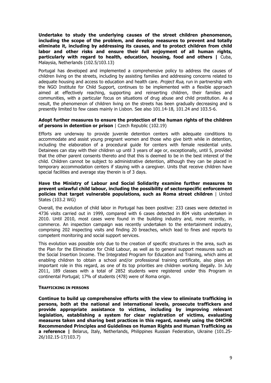**Undertake to study the underlying causes of the street children phenomenon, including the scope of the problem, and develop measures to prevent and totally eliminate it, including by addressing its causes, and to protect children from child labor and other risks and ensure their full enjoyment of all human rights, particularly with regard to health, education, housing, food and others |** Cuba, Malaysia, Netherlands (102.5/103.13)

Portugal has developed and implemented a comprehensive policy to address the causes of children living on the streets, including by assisting families and addressing concerns related to adequate housing and access to education and health care. *Project Rua,* run in partnership with the NGO Institute for Child Support, continues to be implemented with a flexible approach aimed at effectively reaching, supporting and reinserting children, their families and communities, with a particular focus on situations of drug abuse and child prostitution. As a result, the phenomenon of children living on the streets has been gradually decreasing and is presently limited to few cases mainly in Lisbon. See also 101.14-18, 101.24 and 103.5-6.

#### **Adopt further measures to ensure the protection of the human rights of the children of persons in detention or prison** | Czech Republic (102.19)

Efforts are underway to provide juvenile detention centers with adequate conditions to accommodate and assist young pregnant women and those who give birth while in detention, including the elaboration of a procedural guide for centers with female residential units. Detainees can stay with their children up until 3 years of age or, exceptionally, until 5, provided that the other parent consents thereto and that this is deemed to be in the best interest of the child. Children cannot be subject to administrative detention, although they can be placed in temporary accommodation centers if staying with a caregiver. Units that receive children have special facilities and average stay therein is of 3 days.

# **Have the Ministry of Labour and Social Solidarity examine further measures to prevent unlawful child labour, including the possibility of sectorspecific enforcement policies that target vulnerable populations, such as Roma street children** | United States (103.2 WG)

Overall, the evolution of child labor in Portugal has been positive: 233 cases were detected in 4736 visits carried out in 1999, compared with 6 cases detected in 804 visits undertaken in 2010. Until 2010, most cases were found in the building industry and, more recently, in commerce. An inspection campaign was recently undertaken to the entertainment industry, comprising 202 inspecting visits and finding 20 breaches, which lead to fines and reports to competent monitoring and social support services.

This evolution was possible only due to the creation of specific structures in the area, such as the Plan for the Elimination for Child Labour, as well as to general support measures such as the Social Insertion Income. The Integrated Program for Education and Training, which aims at enabling children to obtain a school and/or professional training certificate, also plays an important role in this regard, as one of its top priorities are children working illegally. In July 2011, 189 classes with a total of 2852 students were registered under this Program in continental Portugal; 17% of students (478) were of Roma origin.

#### **TRAFFICKING IN PERSONS**

**Continue to build up comprehensive efforts with the view to eliminate trafficking in persons, both at the national and international levels, prosecute traffickers and provide appropriate assistance to victims, including by improving relevant legislation, establishing a system for clear registration of victims, evaluating measures taken and sharing best practices in this regard, namely using the OHCHR Recommended Principles and Guidelines on Human Rights and Human Trafficking as a reference |** Belarus, Italy, Netherlands, Philippines Russian Federation, Ukraine (101.25- 26/102.15-17/103.7)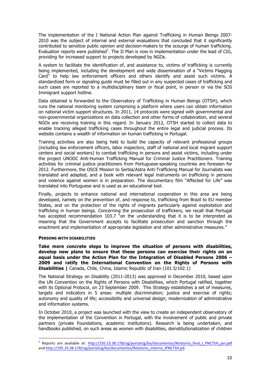The implementation of the I National Action Plan against Trafficking in Human Beings 2007- 2010 was the subject of internal and external evaluations that concluded that it significantly contributed to sensitize public opinion and decision-makers to the scourge of human trafficking. Evaluation reports were published<sup>1</sup>. The II Plan is now in implementation under the lead of CIG, providing for increased support to projects developed by NGOs.

A system to facilitate the identification of, and assistance to, victims of trafficking is currently being implemented, including the development and wide dissemination of a "Victims Flagging Card" to help law enforcement officers and others identify and assist such victims. A standardized form or signaling guide must be filled out in any suspected cases of trafficking and such cases are reported to a multidisciplinary team or focal point, in person or via the SOS Immigrant support hotline.

Data obtained is forwarded to the Observatory of Trafficking in Human Beings (OTSH), which runs the national monitoring system comprising a platform where users can obtain information on national victim support structures. In 2011, 14 protocols were signed with governmental and non-governmental organizations on data collection and other forms of collaboration, and several NGOs are receiving training in this regard. In January 2012, OTSH started to collect data to enable tracking alleged trafficking cases throughout the entire legal and judicial process. Its website contains a wealth of information on human trafficking in Portugal.

Training activities are also being held to build the capacity of relevant professional groups (including law enforcement officers, labor inspectors, staff of national and local migrant support centers and social workers) to combat trafficking in persons and assist victims, including under the project UNODC Anti-Human Trafficking Manual for Criminal Justice Practitioners. Training activities for criminal justice practitioners from Portuguese-speaking countries are foreseen for 2012. Furthermore, the OSCE Mission to Serbia/Astra Anti-Trafficking Manual for Journalists was translated and adapted, and a book with relevant legal instruments on trafficking in persons and violence against women is in preparation. The documentary film "Affected for Life" was translated into Portuguese and is used as an educational tool.

Finally, projects to enhance national and international cooperation in this area are being developed, namely on the prevention of, and response to, trafficking from Brazil to EU member States, and on the protection of the rights of migrants particularly against exploitation and trafficking in human beings. Concerning the prosecution of traffickers, we recall that Portugal has accepted recommendation 103.7 "on the understanding that it is to be interpreted as meaning that the Government accepts to facilitate prosecution and sanction through the enactment and implementation of appropriate legislation and other administrative measures."

#### **PERSONS WITH DISABILITIES**

**Take more concrete steps to improve the situation of persons with disabilities, develop new plans to ensure that these persons can exercise their rights on an equal basis under the Action Plan for the Integration of Disabled Persons 2006 – 2009 and ratify the International Convention on the Rights of Persons with Disabilities |** Canada, Chile, China, Islamic Republic of Iran (101.5/102.1)

The National Strategy on Disability (2011-2013) was approved in December 2010, based upon the UN Convention on the Rights of Persons with Disabilities, which Portugal ratified, together with its Optional Protocol, on 23 September 2009. This Strategy establishes a set of measures, targets and indicators in 5 areas: multiple discrimination; justice and exercise of rights; autonomy and quality of life; accessibility and universal design; modernization of administrative and information systems.

In October 2010, a project was launched with the view to create an independent observatory of the implementation of the Convention in Portugal, with the involvement of public and private partners (private Foundations, academic institutions). Research is being undertaken, and handbooks published, on such areas as women with disabilities, deinstitutionalization of children

<sup>&</sup>lt;sup>1</sup> Reports are available at: http://195.23.38.178/cig/portalcig/bo/documentos/Relatorio\_final\_I\_PNCTSH\_jan.pdf and http://195.23.38.178/cig/portalcig/bo/documentos/Relatorio\_interno\_IPNCTSH.pd.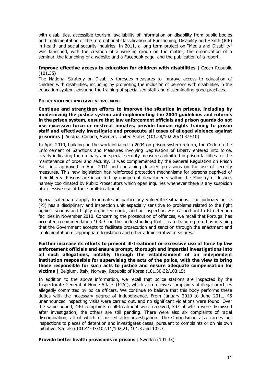with disabilities, accessible tourism, availability of information on disability from public bodies and implementation of the International Classification of Functioning, Disability and Health (ICF) in health and social security inquiries. In 2011, a long term project on "Media and Disability" was launched, with the creation of a working group on the matter, the organization of a seminar, the launching of a website and a Facebook page, and the publication of a report.

# **Improve effective access to education for children with disabilities** | Czech Republic (101.35)

The National Strategy on Disability foresees measures to improve access to education of children with disabilities, including by promoting the inclusion of persons with disabilities in the education system, ensuring the training of specialized staff and disseminating good practices.

# **POLICE VIOLENCE AND LAW ENFORCEMENT**

**Continue and strengthen efforts to improve the situation in prisons, including by modernizing the justice system and implementing the 2004 guidelines and reforms in the prison system, ensure that law enforcement officials and prison guards do not use excessive force or mistreat inmates, provide human rights training to prison staff and effectively investigate and prosecute all cases of alleged violence against prisoners |** Austria, Canada, Sweden, United States (101.28/102.20/103.9-10)

In April 2010, building on the work initiated in 2004 on prison system reform, the Code on the Enforcement of Sanctions and Measures involving Deprivation of Liberty entered into force, clearly indicating the ordinary and special security measures admitted in prison facilities for the maintenance of order and security. It was complemented by the General Regulation on Prison Facilities, approved in April 2011 and containing detailed provisions on the use of security measures. This new legislation has reinforced protection mechanisms for persons deprived of their liberty. Prisons are inspected by competent departments within the Ministry of Justice, namely coordinated by Public Prosecutors which open inquiries whenever there is any suspicion of excessive use of force or ill-treatment.

Special safeguards apply to inmates in particularly vulnerable situations. The judiciary police (PJ) has a disciplinary and inspection unit especially sensitive to problems related to the fight against serious and highly organized crime, and an inspection was carried out to PJ detention facilities in November 2010. Concerning the prosecution of offences, we recall that Portugal has accepted recommendation 103.9 "on the understanding that it is to be interpreted as meaning that the Government accepts to facilitate prosecution and sanction through the enactment and implementation of appropriate legislation and other administrative measures."

# **Further increase its efforts to prevent ill-treatment or excessive use of force by law enforcement officials and ensure prompt, thorough and impartial investigations into all such allegations, notably through the establishment of an independent institution responsible for supervising the acts of the police, with the view to bring those responsible for such acts to justice and ensure adequate compensation for victims |** Belgium, Italy, Norway, Republic of Korea (101.30-32/103.15)

In addition to the above information, we recall that police stations are inspected by the Inspectorate General of Home Affairs (IGAI), which also receives complaints of illegal practices allegedly committed by police officers. We continue to believe that this body performs these duties with the necessary degree of independence. From January 2010 to June 2011, 45 unannounced inspecting visits were carried out, and no significant violations were found. Over the same period, 440 complaints of ill-treatment were received, 347 of which were dismissed after investigation; the others are still pending. There were also six complaints of racial discrimination, all of which dismissed after investigation. The Ombudsman also carries out inspections to places of detention and investigates cases, pursuant to complaints or on his own initiative. See also 101.41-43/102.11/102.21, 101.3 and 102.3.

**Provide better health provisions in prisons** | Sweden (101.33)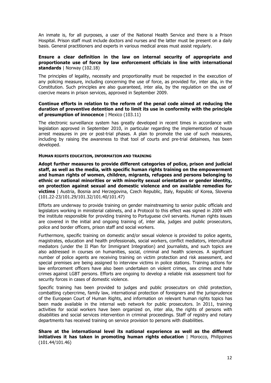An inmate is, for all purposes, a user of the National Health Service and there is a Prison Hospital. Prison staff must include doctors and nurses and the latter must be present on a daily basis. General practitioners and experts in various medical areas must assist regularly.

# **Ensure a clear definition in the law on internal security of appropriate and proportionate use of force by law enforcement officials in line with international standards** | Norway (102.18)

The principles of legality, necessity and proportionality must be respected in the execution of any policing measure, including concerning the use of force, as provided for, inter alia, in the Constitution. Such principles are also guaranteed, inter alia, by the regulation on the use of coercive means in prison services, approved in September 2009.

# **Continue efforts in relation to the reform of the penal code aimed at reducing the duration of preventive detention and to limit its use in conformity with the principle of presumption of innocence** | Mexico (103.11)

The electronic surveillance system has greatly developed in recent times in accordance with legislation approved in September 2010, in particular regarding the implementation of house arrest measures in pre or post-trial phases. A plan to promote the use of such measures, including by raising the awareness to that tool of courts and pre-trial detainees, has been developed.

# **HUMAN RIGHTS EDUCATION, INFORMATION AND TRAINING**

**Adopt further measures to provide different categories of police, prison and judicial staff, as well as the media, with specific human rights training on the empowerment and human rights of women, children, migrants, refugees and persons belonging to ethnic or national minorities or with minority sexual orientation or gender identity, on protection against sexual and domestic violence and on available remedies for victims** | Austria, Bosnia and Herzegovina, Czech Republic, Italy, Republic of Korea, Slovenia (101.22-23/101.29/101.32/101.40/101.47)

Efforts are underway to provide training on gender mainstreaming to senior public officials and legislators working in ministerial cabinets, and a Protocol to this effect was signed in 2009 with the institute responsible for providing training to Portuguese civil servants. Human rights issues are covered in the initial and ongoing training of, inter alia, judges and public prosecutors, police and border officers, prison staff and social workers.

Furthermore, specific training on domestic and/or sexual violence is provided to police agents, magistrates, education and health professionals, social workers, conflict mediators, intercultural mediators (under the II Plan for Immigrant Integration) and journalists, and such topics are also addressed in courses on humanities, social, criminal and health sciences. A significant number of police agents are receiving training on victim protection and risk assessment, and special premises are being assigned to interview victims in police stations. Training actions for law enforcement officers have also been undertaken on violent crimes, sex crimes and hate crimes against LGBT persons. Efforts are ongoing to develop a reliable risk assessment tool for security forces in cases of domestic violence.

Specific training has been provided to judges and public prosecutors on child protection, combatting cybercrime, family law, international protection of foreigners and the jurisprudence of the European Court of Human Rights, and information on relevant human rights topics has been made available in the internal web network for public prosecutors. In 2011, training activities for social workers have been organized on, inter alia, the rights of persons with disabilities and social services intervention in criminal proceedings. Staff of registry and notary departments has received training on service provision to persons with disabilities.

**Share at the international level its national experience as well as the different initiatives it has taken in promoting human rights education** | Morocco, Philippines (101.44/101.46)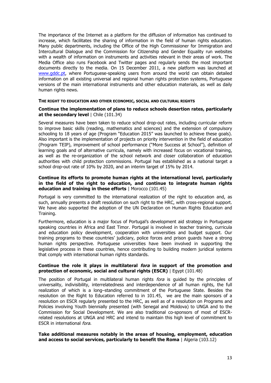The importance of the Internet as a platform for the diffusion of information has continued to increase, which facilitates the sharing of information in the field of human rights education. Many public departments, including the Office of the High Commissioner for Immigration and Intercultural Dialogue and the Commission for Citizenship and Gender Equality run websites with a wealth of information on instruments and activities relevant in their areas of work. The Media Office also runs Facebook and Twitter pages and regularly sends the most important documents directly to the media. On 15 December 2011, a new platform was launched at www.gddc.pt, where Portuguese-speaking users from around the world can obtain detailed information on all existing universal and regional human rights protection systems, Portuguese versions of the main international instruments and other education materials, as well as daily human rights news.

# **THE RIGHT TO EDUCATION AND OTHER ECONOMIC, SOCIAL AND CULTURAL RIGHTS**

# **Continue the implementation of plans to reduce schools desertion rates, particularly at the secondary level** | Chile (101.34)

Several measures have been taken to reduce school drop-out rates, including curricular reform to improve basic skills (reading, mathematics and sciences) and the extension of compulsory schooling to 18 years of age (Program "Education 2015" was launched to achieve these goals). Also important is the implementation of projects on priority intervention in the field of education (Program TEIP), improvement of school performance ("More Success at School"), definition of learning goals and of alternative curricula, namely with increased focus on vocational training, as well as the re-organization of the school network and closer collaboration of education authorities with child protection commissions. Portugal has established as a national target a school drop-out rate of 10% by 2020, and an interim target of 15% by 2014.

# **Continue its efforts to promote human rights at the international level, particularly in the field of the right to education, and continue to integrate human rights education and training in these efforts** | Morocco (101.45)

Portugal is very committed to the international realization of the right to education and, as such, annually presents a draft resolution on such right to the HRC, with cross-regional support. We have also supported the adoption of the UN Declaration on Human Rights Education and Training.

Furthermore, education is a major focus of Portugal's development aid strategy in Portuguese speaking countries in Africa and East Timor. Portugal is involved in teacher training, curricula and education policy development, cooperation with universities and budget support. Our training programs to these countries' judiciary, police forces and prison guards have a strong human rights perspective. Portuguese universities have been involved in supporting the legislative process in these countries, hence contributing to building modern juridical systems that comply with international human rights standards.

# **Continue the role it plays in multilateral fora in support of the promotion and protection of economic, social and cultural rights (ESCR)** | Egypt (101.48)

The position of Portugal in multilateral human rights *fora* is guided by the principles of universality, indivisibility, interrelatedness and interdependence of all human rights, the full realization of which is a long–standing commitment of the Portuguese State. Besides the resolution on the Right to Education referred to in 101.45, we are the main sponsors of a resolution on ESCR regularly presented to the HRC, as well as of a resolution on Programs and Policies involving Youth biennially presented (with Senegal and Moldova) to UNGA and to the Commission for Social Development. We are also traditional co-sponsors of most of ESCRrelated resolutions at UNGA and HRC and intend to maintain this high level of commitment to ESCR in international fora.

# **Take additional measures notably in the areas of housing, employment, education and access to social services, particularly to benefit the Roma** | Algeria (103.12)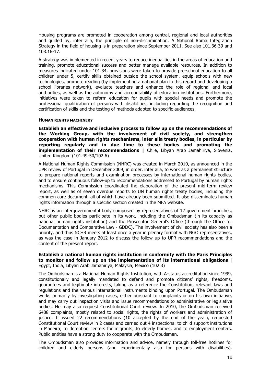Housing programs are promoted in cooperation among central, regional and local authorities and guided by, inter alia, the principle of non-discrimination. A National Roma Integration Strategy in the field of housing is in preparation since September 2011. See also 101.36-39 and 103.16-17.

A strategy was implemented in recent years to reduce inequalities in the areas of education and training, promote educational success and better manage available resources. In addition to measures indicated under 101.34, provisions were taken to provide pre-school education to all children under 5, certify skills obtained outside the school system, equip schools with new technologies, promote reading (by implementing a national plan in this regard and developing a school libraries network), evaluate teachers and enhance the role of regional and local authorities, as well as the autonomy and accountability of education institutions. Furthermore, initiatives were taken to reform education for pupils with special needs and promote the professional qualification of persons with disabilities, including regarding the recognition and certification of skills and the testing of methods adapted to specific audiences.

#### **HUMAN RIGHTS MACHINERY**

**Establish an effective and inclusive process to follow up on the recommendations of the Working Group, with the involvement of civil society, and strengthen cooperation with human rights mechanisms, inter alia treaty bodies, in particular by reporting regularly and in due time to these bodies and promoting the implementation of their recommendations |** Chile, Libyan Arab Jamahiriya, Slovenia, United Kingdom (101.49-50/102.6)

A National Human Rights Commission (NHRC) was created in March 2010, as announced in the UPR review of Portugal in December 2009, in order, inter alia, to work as a permanent structure to prepare national reports and examination processes by international human rights bodies, and to ensure continuous follow-up to recommendations addressed to Portugal by human rights mechanisms. This Commission coordinated the elaboration of the present mid-term review report, as well as of seven overdue reports to UN human rights treaty bodies, including the common core document, all of which have already been submitted. It also disseminates human rights information through a specific section created in the MFA website.

NHRC is an intergovernmental body composed by representatives of 12 government branches, but other public bodies participate in its work, including the Ombudsman (in its capacity as national human rights institution) and the Prosecutor General's Office (through the Office for Documentation and Comparative Law - GDDC). The involvement of civil society has also been a priority, and thus NCHR meets at least once a year in plenary format with NGO representatives, as was the case in January 2012 to discuss the follow up to UPR recommendations and the content of the present report.

# **Establish a national human rights institution in conformity with the Paris Principles to monitor and follow up on the implementation of its international obligations** | Egypt, India, Libyan Arab Jamahiriya, Malaysia, Mexico (102.3)

The Ombudsman is a National Human Rights Institution, with A-status accreditation since 1999, constitutionally and legally mandated to defend and promote citizens' rights, freedoms, guarantees and legitimate interests, taking as a reference the Constitution, relevant laws and regulations and the various international instruments binding upon Portugal. The Ombudsman works primarily by investigating cases, either pursuant to complaints or on his own initiative, and may carry out inspection visits and issue recommendations to administrative or legislative bodies. He may also request Constitutional Court review. In 2010, the Ombudsman received 6488 complaints, mostly related to social rights, the rights of workers and administration of justice. It issued 22 recommendations (10 accepted by the end of the year), requested Constitutional Court review in 2 cases and carried out 4 inspections: to child support institutions in Madeira; to detention centers for migrants; to elderly homes; and to employment centers. Public entities have a strong duty to cooperate with the Ombudsman.

The Ombudsman also provides information and advice, namely through toll-free hotlines for children and elderly persons (and experimentally also for persons with disabilities).